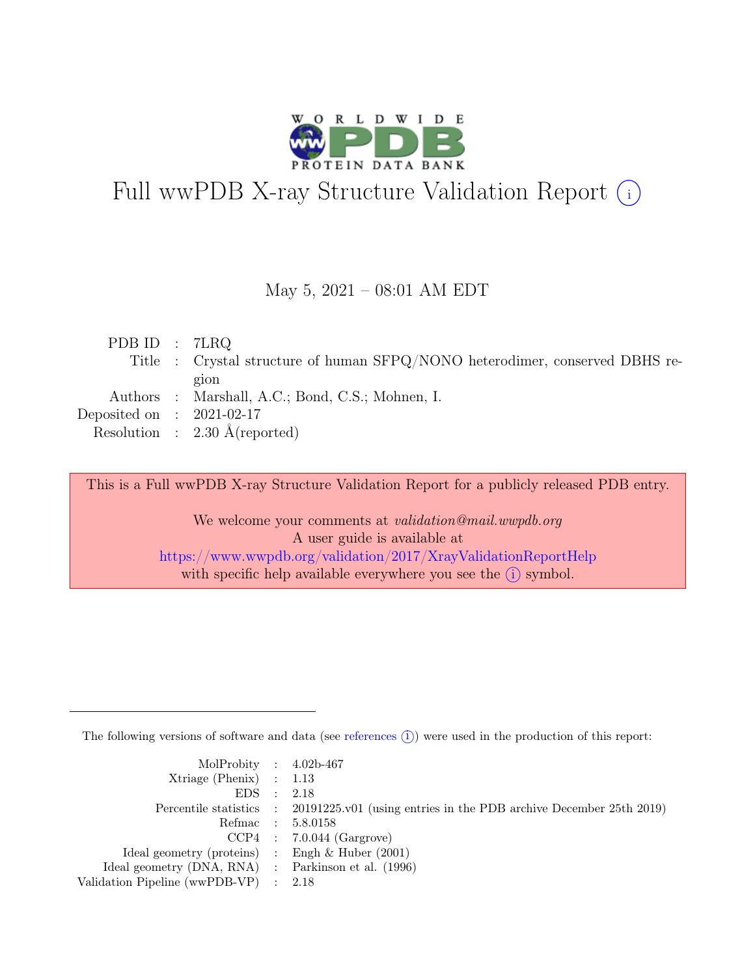

# Full wwPDB X-ray Structure Validation Report  $(i)$

#### May 5, 2021 – 08:01 AM EDT

| PDB ID : $7LRQ$             |                                                                              |
|-----------------------------|------------------------------------------------------------------------------|
|                             | Title : Crystal structure of human SFPQ/NONO heterodimer, conserved DBHS re- |
|                             | gion                                                                         |
|                             | Authors : Marshall, A.C.; Bond, C.S.; Mohnen, I.                             |
| Deposited on : $2021-02-17$ |                                                                              |
|                             | Resolution : $2.30 \text{ Å}$ (reported)                                     |

This is a Full wwPDB X-ray Structure Validation Report for a publicly released PDB entry.

We welcome your comments at *validation@mail.wwpdb.org* A user guide is available at <https://www.wwpdb.org/validation/2017/XrayValidationReportHelp> with specific help available everywhere you see the  $(i)$  symbol.

The following versions of software and data (see [references](https://www.wwpdb.org/validation/2017/XrayValidationReportHelp#references)  $(i)$ ) were used in the production of this report:

| MolProbity : $4.02b-467$                            |                                                                                            |
|-----------------------------------------------------|--------------------------------------------------------------------------------------------|
| $Xtriangle (Phenix)$ : 1.13                         |                                                                                            |
| EDS : 2.18                                          |                                                                                            |
|                                                     | Percentile statistics : 20191225.v01 (using entries in the PDB archive December 25th 2019) |
|                                                     | Refmac : 5.8.0158                                                                          |
|                                                     | $CCP4$ : 7.0.044 (Gargrove)                                                                |
| Ideal geometry (proteins) : Engh $\&$ Huber (2001)  |                                                                                            |
| Ideal geometry (DNA, RNA) : Parkinson et al. (1996) |                                                                                            |
| Validation Pipeline (wwPDB-VP) : 2.18               |                                                                                            |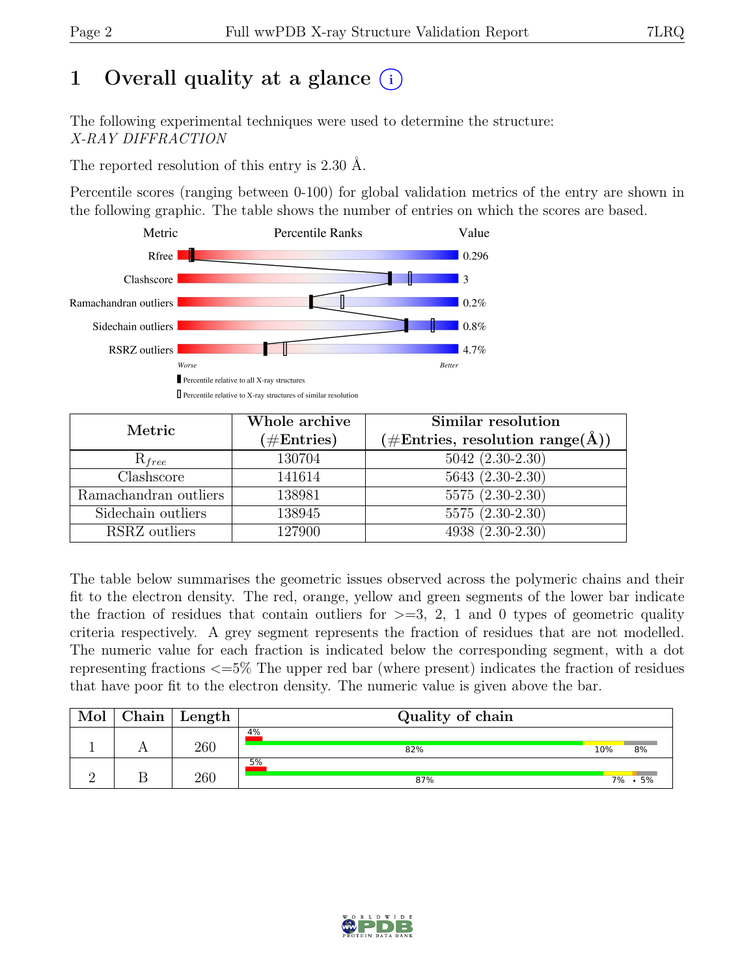## 1 Overall quality at a glance  $(i)$

The following experimental techniques were used to determine the structure: X-RAY DIFFRACTION

The reported resolution of this entry is 2.30 Å.

Percentile scores (ranging between 0-100) for global validation metrics of the entry are shown in the following graphic. The table shows the number of entries on which the scores are based.



| Metric                                     | Whole archive        | Similar resolution                                           |
|--------------------------------------------|----------------------|--------------------------------------------------------------|
|                                            | $(\#\text{Entries})$ | $(\# \text{Entries}, \text{ resolution } \text{range}(\AA))$ |
| $R_{free}$                                 | 130704               | $5042 (2.30-2.30)$                                           |
| Clashscore                                 | 141614               | $5643(2.30-2.30)$                                            |
| $\overline{\text{Ramach}}$ andran outliers | 138981               | $5575(2.30-2.30)$                                            |
| Sidechain outliers                         | 138945               | $5575(2.30-2.30)$                                            |
| RSRZ outliers                              | 127900               | 4938 (2.30-2.30)                                             |

The table below summarises the geometric issues observed across the polymeric chains and their fit to the electron density. The red, orange, yellow and green segments of the lower bar indicate the fraction of residues that contain outliers for  $\geq$ =3, 2, 1 and 0 types of geometric quality criteria respectively. A grey segment represents the fraction of residues that are not modelled. The numeric value for each fraction is indicated below the corresponding segment, with a dot representing fractions <=5% The upper red bar (where present) indicates the fraction of residues that have poor fit to the electron density. The numeric value is given above the bar.

| Mol | ${\rm Chain}$ | $\mathbf{Length}$ | Quality of chain |     |            |
|-----|---------------|-------------------|------------------|-----|------------|
|     |               | 260               | 4%<br>82%        | 10% | 8%         |
|     |               | 260               | 5%<br>87%        | 7%  | $\cdot$ 5% |

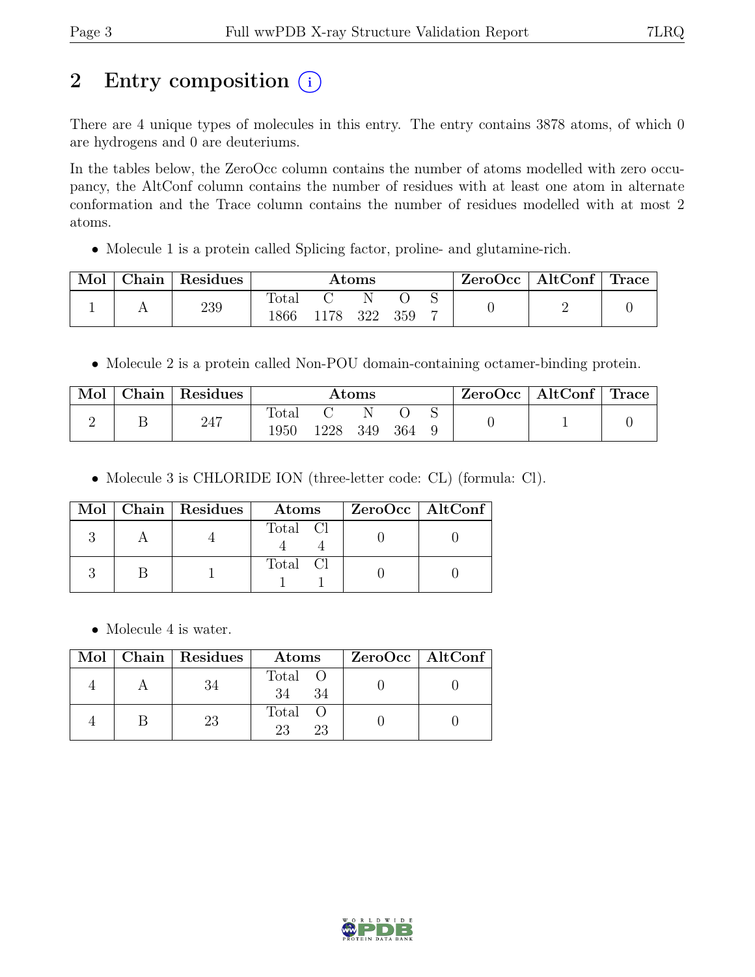## 2 Entry composition  $(i)$

There are 4 unique types of molecules in this entry. The entry contains 3878 atoms, of which 0 are hydrogens and 0 are deuteriums.

In the tables below, the ZeroOcc column contains the number of atoms modelled with zero occupancy, the AltConf column contains the number of residues with at least one atom in alternate conformation and the Trace column contains the number of residues modelled with at most 2 atoms.

• Molecule 1 is a protein called Splicing factor, proline- and glutamine-rich.

| Mol | Chain | $\perp$ Residues | Atoms         |              |  |  | $ZeroOcc \   \ AltConf \   \ Trace$ |  |  |
|-----|-------|------------------|---------------|--------------|--|--|-------------------------------------|--|--|
|     |       | 239              | Total<br>1866 | 1178 322 359 |  |  |                                     |  |  |

• Molecule 2 is a protein called Non-POU domain-containing octamer-binding protein.

| Mol | Chain | Residues | Atoms         |      |     | ZeroOcc | $\vert$ AltConf $\vert$ Trace |  |  |  |
|-----|-------|----------|---------------|------|-----|---------|-------------------------------|--|--|--|
|     |       | 247      | Total<br>1950 | 1228 | 349 | 364     |                               |  |  |  |

• Molecule 3 is CHLORIDE ION (three-letter code: CL) (formula: Cl).

|  | Mol   Chain   Residues | Atoms    | ZeroOcc   AltConf |
|--|------------------------|----------|-------------------|
|  |                        | Total Cl |                   |
|  |                        | Total Cl |                   |

• Molecule 4 is water.

|  | Mol   Chain   Residues | Atoms               | ZeroOcc   AltConf |
|--|------------------------|---------------------|-------------------|
|  |                        | Total O<br>34       |                   |
|  | 23                     | Total O<br>23<br>23 |                   |

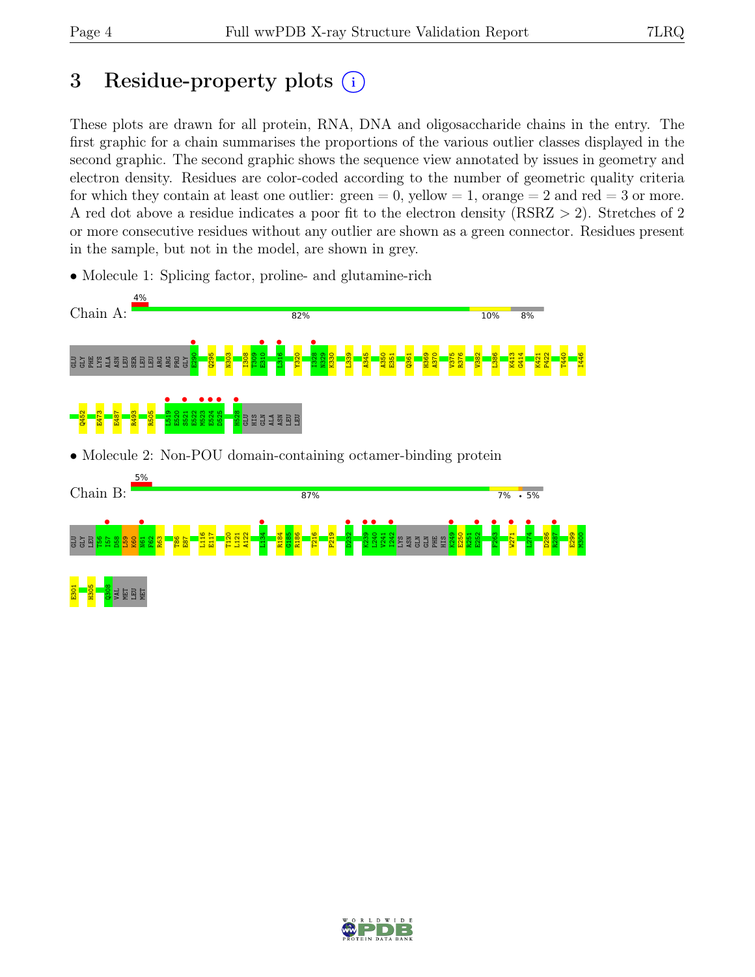## 3 Residue-property plots  $(i)$

These plots are drawn for all protein, RNA, DNA and oligosaccharide chains in the entry. The first graphic for a chain summarises the proportions of the various outlier classes displayed in the second graphic. The second graphic shows the sequence view annotated by issues in geometry and electron density. Residues are color-coded according to the number of geometric quality criteria for which they contain at least one outlier:  $green = 0$ , yellow  $= 1$ , orange  $= 2$  and red  $= 3$  or more. A red dot above a residue indicates a poor fit to the electron density (RSRZ > 2). Stretches of 2 or more consecutive residues without any outlier are shown as a green connector. Residues present in the sample, but not in the model, are shown in grey.

• Molecule 1: Splicing factor, proline- and glutamine-rich







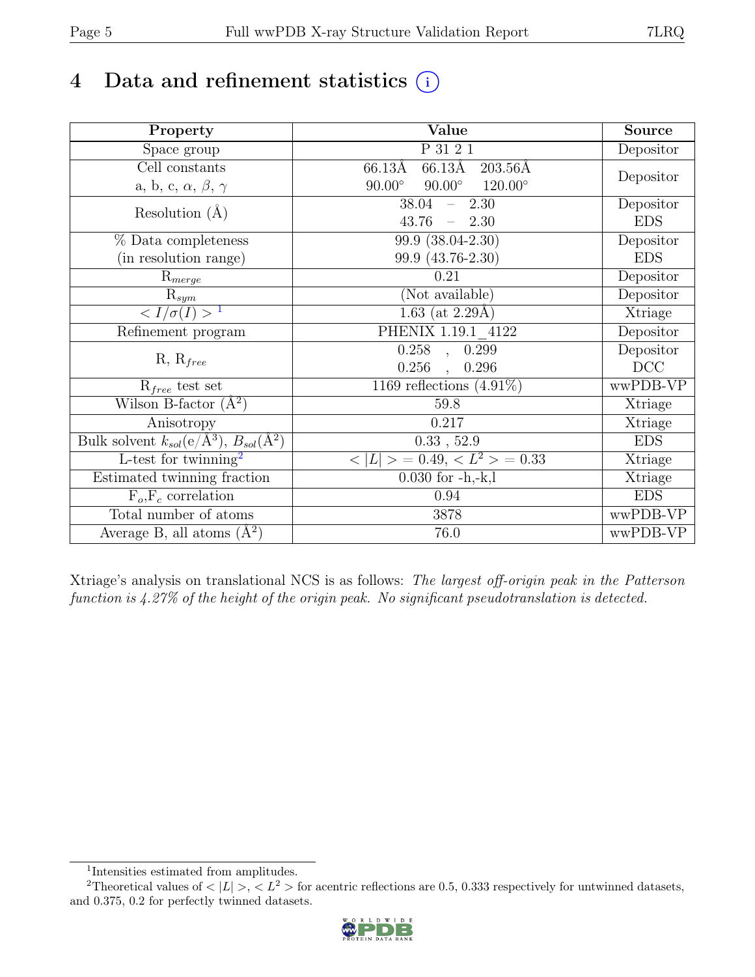## 4 Data and refinement statistics  $(i)$

| Property                                                             | Value                                              | Source     |
|----------------------------------------------------------------------|----------------------------------------------------|------------|
| Space group                                                          | P 31 2 1                                           | Depositor  |
| $\overline{C}$ ell constants                                         | 66.13Å<br>$66.13\text{\AA}$<br>$203.56\text{\AA}$  |            |
| a, b, c, $\alpha$ , $\beta$ , $\gamma$                               | $90.00^\circ$<br>$120.00^{\circ}$<br>$90.00^\circ$ | Depositor  |
| Resolution $(A)$                                                     | $-2.30$<br>38.04                                   | Depositor  |
|                                                                      | $43.76 = 2.30$                                     | <b>EDS</b> |
| % Data completeness                                                  | $\overline{99.9}$ $(38.04 - 2.30)$                 | Depositor  |
| (in resolution range)                                                | 99.9 (43.76-2.30)                                  | <b>EDS</b> |
| $R_{merge}$                                                          | 0.21                                               | Depositor  |
| $\mathrm{R}_{sym}$                                                   | (Not available)                                    | Depositor  |
| $\langle I/\sigma(I) \rangle$ <sup>1</sup>                           | 1.63 (at $2.29\text{\AA}$ )                        | Xtriage    |
| Refinement program                                                   | PHENIX 1.19.1 4122                                 | Depositor  |
|                                                                      | $\overline{0.258}$ ,<br>0.299                      | Depositor  |
| $R, R_{free}$                                                        | 0.256<br>0.296                                     | DCC        |
| $R_{free}$ test set                                                  | 1169 reflections $(4.91\%)$                        | wwPDB-VP   |
| Wilson B-factor $(A^2)$                                              | 59.8                                               | Xtriage    |
| Anisotropy                                                           | 0.217                                              | Xtriage    |
| Bulk solvent $k_{sol}(e/\mathring{A}^3)$ , $B_{sol}(\mathring{A}^2)$ | 0.33, 52.9                                         | <b>EDS</b> |
| L-test for twinning <sup>2</sup>                                     | $< L >$ = 0.49, $< L2$ > = 0.33                    | Xtriage    |
| Estimated twinning fraction                                          | $0.030$ for $-h,-k,l$                              | Xtriage    |
| $F_o, F_c$ correlation                                               | 0.94                                               | <b>EDS</b> |
| Total number of atoms                                                | 3878                                               | wwPDB-VP   |
| Average B, all atoms $(A^2)$                                         | 76.0                                               | wwPDB-VP   |

Xtriage's analysis on translational NCS is as follows: The largest off-origin peak in the Patterson function is 4.27% of the height of the origin peak. No significant pseudotranslation is detected.

<sup>&</sup>lt;sup>2</sup>Theoretical values of  $\langle |L| \rangle$ ,  $\langle L^2 \rangle$  for acentric reflections are 0.5, 0.333 respectively for untwinned datasets, and 0.375, 0.2 for perfectly twinned datasets.



<span id="page-4-1"></span><span id="page-4-0"></span><sup>1</sup> Intensities estimated from amplitudes.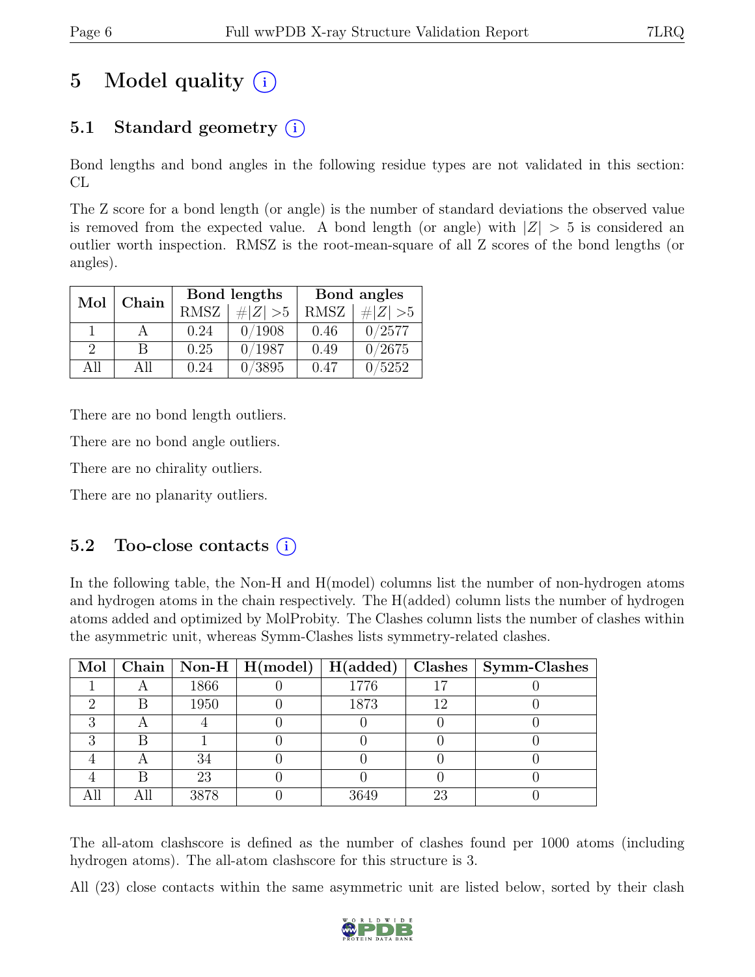## 5 Model quality  $(i)$

### 5.1 Standard geometry  $(i)$

Bond lengths and bond angles in the following residue types are not validated in this section: CL

The Z score for a bond length (or angle) is the number of standard deviations the observed value is removed from the expected value. A bond length (or angle) with  $|Z| > 5$  is considered an outlier worth inspection. RMSZ is the root-mean-square of all Z scores of the bond lengths (or angles).

| Mol           | Chain |             | Bond lengths | Bond angles |             |  |
|---------------|-------|-------------|--------------|-------------|-------------|--|
|               |       | <b>RMSZ</b> | $\# Z  > 5$  | <b>RMSZ</b> | # $ Z  > 5$ |  |
|               |       | 0.24        | 0/1908       | 0.46        | 0/2577      |  |
| $\mathcal{D}$ | R     | 0.25        | 0/1987       | 0.49        | 0/2675      |  |
| ΔH            | All   | 0.24        | 0/3895       | 0.47        | /5252       |  |

There are no bond length outliers.

There are no bond angle outliers.

There are no chirality outliers.

There are no planarity outliers.

#### 5.2 Too-close contacts  $(i)$

In the following table, the Non-H and H(model) columns list the number of non-hydrogen atoms and hydrogen atoms in the chain respectively. The H(added) column lists the number of hydrogen atoms added and optimized by MolProbity. The Clashes column lists the number of clashes within the asymmetric unit, whereas Symm-Clashes lists symmetry-related clashes.

|  |      |      |    | Mol   Chain   Non-H   H(model)   H(added)   Clashes   Symm-Clashes |
|--|------|------|----|--------------------------------------------------------------------|
|  | 1866 | 1776 |    |                                                                    |
|  | 1950 | 1873 |    |                                                                    |
|  |      |      |    |                                                                    |
|  |      |      |    |                                                                    |
|  |      |      |    |                                                                    |
|  | 23   |      |    |                                                                    |
|  | 3878 | 3649 | 23 |                                                                    |

The all-atom clashscore is defined as the number of clashes found per 1000 atoms (including hydrogen atoms). The all-atom clashscore for this structure is 3.

All (23) close contacts within the same asymmetric unit are listed below, sorted by their clash

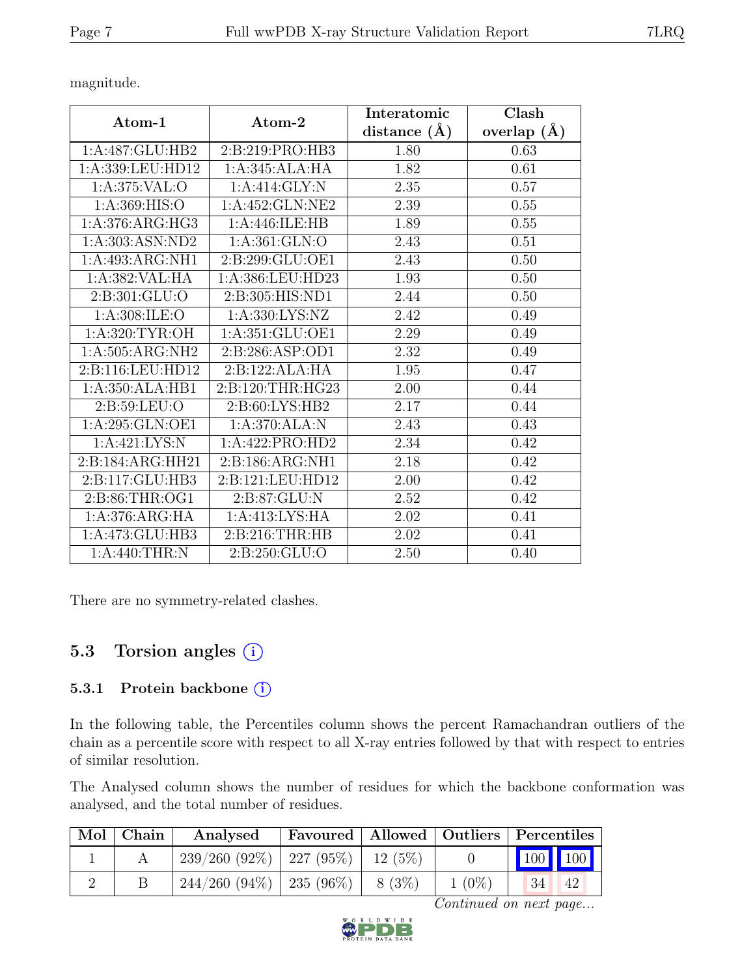magnitude.

|                    | Atom-2             | Interatomic    | Clash         |
|--------------------|--------------------|----------------|---------------|
| Atom-1             |                    | distance $(A)$ | overlap $(A)$ |
| 1:A:487:GLU:HB2    | 2:B:219:PRO:HB3    | 1.80           | 0.63          |
| 1:A:339:LEU:HD12   | 1:A:345:ALA:HA     | 1.82           | 0.61          |
| 1: A:375: VAL:O    | 1:A:414:GLY:N      | 2.35           | 0.57          |
| 1: A:369: HIS:O    | 1:A:452:GLN:NE2    | 2.39           | 0.55          |
| 1:A:376:ARG:HG3    | 1:A:446:ILE:HB     | 1.89           | 0.55          |
| 1:A:303:ASN:ND2    | 1: A:361: GLN:O    | 2.43           | 0.51          |
| 1:A:493:ARG:NH1    | 2:B:299:GLU:OE1    | 2.43           | 0.50          |
| 1:A:382:VAL:HA     | 1:A:386:LEU:HD23   | 1.93           | 0.50          |
| 2:B:301:GLU:O      | 2:B:305:HIS:ND1    | 2.44           | 0.50          |
| 1: A:308: ILE:O    | 1: A: 330: LYS: NZ | 2.42           | 0.49          |
| 1: A:320: TYR:OH   | 1:A:351:GLU:OE1    | 2.29           | 0.49          |
| 1: A:505: ARG: NH2 | 2:B:286:ASP:OD1    | 2.32           | 0.49          |
| 2:B:116:LEU:HD12   | 2:B:122:ALA:HA     | 1.95           | 0.47          |
| 1:A:350:ALA:HB1    | 2:B:120:THR:HG23   | 2.00           | 0.44          |
| 2:B:59:LEU:O       | 2:B:60:LYS:HB2     | 2.17           | 0.44          |
| 1:A:295:GLN:OE1    | 1:A:370:ALA:N      | 2.43           | 0.43          |
| 1:A:421:LYS:N      | 1:A:422:PRO:HD2    | 2.34           | 0.42          |
| 2:B:184:ARG:HH21   | 2:B:186:ARG:NH1    | 2.18           | 0.42          |
| 2:B:117:GLU:HB3    | 2:B:121:LEU:HD12   | 2.00           | 0.42          |
| 2:B:86:THR:OG1     | 2:B:87:GLU:N       | 2.52           | 0.42          |
| 1:A:376:ARG:HA     | 1:A:413:LYS:HA     | 2.02           | 0.41          |
| 1:A:473:GLU:HB3    | 2:B:216:THR:HB     | 2.02           | 0.41          |
| 1:A:440:THR:N      | 2: B:250: GLU:O    | 2.50           | 0.40          |

There are no symmetry-related clashes.

### 5.3 Torsion angles  $(i)$

#### 5.3.1 Protein backbone (i)

In the following table, the Percentiles column shows the percent Ramachandran outliers of the chain as a percentile score with respect to all X-ray entries followed by that with respect to entries of similar resolution.

The Analysed column shows the number of residues for which the backbone conformation was analysed, and the total number of residues.

| Mol   Chain | Analysed                                 | Favoured   Allowed   Outliers   Percentiles |          |          |         |    |
|-------------|------------------------------------------|---------------------------------------------|----------|----------|---------|----|
|             | $239/260$ (92\%)   227 (95\%)   12 (5\%) |                                             |          |          | 100 100 |    |
|             | $244/260$ (94\%)   235 (96\%)            |                                             | $8(3\%)$ | $1(0\%)$ | 34      | 42 |

Continued on next page...

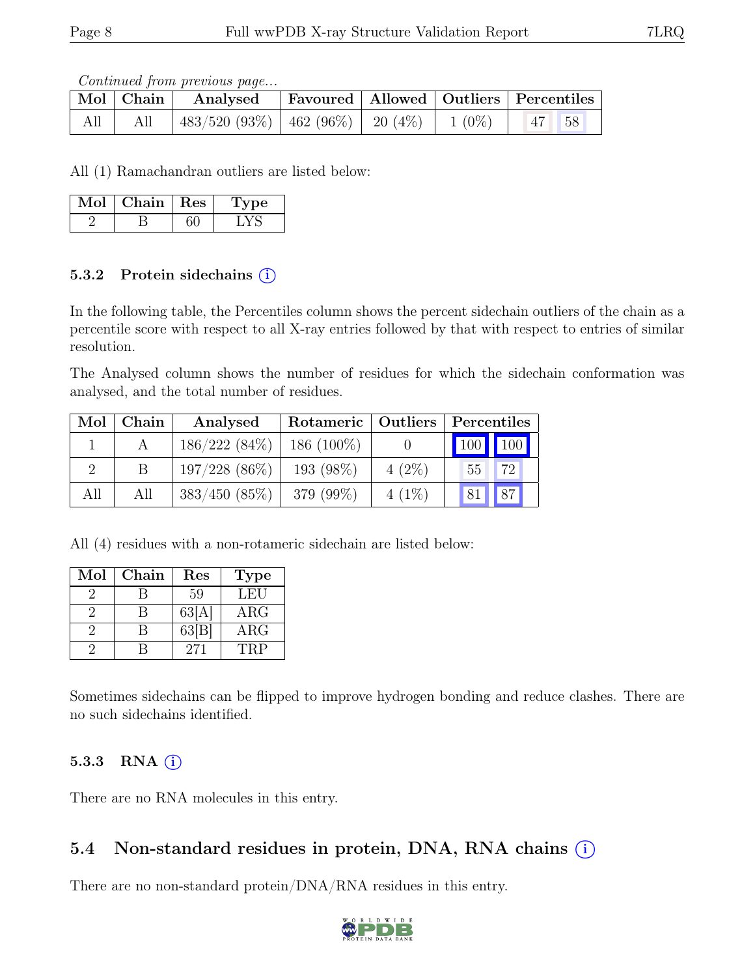Continued from previous page...

|     |     | $\boxed{\text{Mol}}$ $\boxed{\text{Chain}}$ Analysed       |  | Favoured   Allowed   Outliers   Percentiles |  |
|-----|-----|------------------------------------------------------------|--|---------------------------------------------|--|
| All | All | $483/520$ (93\%)   462 (96\%)   20 (4\%)   1 (0\%)   47 58 |  |                                             |  |

All (1) Ramachandran outliers are listed below:

| Mol | Chain | Res | vpe |
|-----|-------|-----|-----|
|     |       |     |     |

#### 5.3.2 Protein sidechains  $(i)$

In the following table, the Percentiles column shows the percent sidechain outliers of the chain as a percentile score with respect to all X-ray entries followed by that with respect to entries of similar resolution.

The Analysed column shows the number of residues for which the sidechain conformation was analysed, and the total number of residues.

| Mol | Chain | Analysed         | Rotameric   Outliers |          | Percentiles |                     |  |
|-----|-------|------------------|----------------------|----------|-------------|---------------------|--|
|     |       | $186/222(84\%)$  | $186(100\%)$         |          |             | $\vert$ 100 $\vert$ |  |
|     |       | $197/228$ (86\%) | 193 (98%)            | $4(2\%)$ | 55          | 72                  |  |
| All | All   | $383/450(85\%)$  | 379 (99%)            | $4(1\%)$ |             | 87                  |  |

All (4) residues with a non-rotameric sidechain are listed below:

| Mol | Chain | Res   | Type       |
|-----|-------|-------|------------|
|     |       | 59    | LEU        |
|     |       | 63[A] | $\rm{ARG}$ |
|     |       | 63[B] | $\rm{ARG}$ |
|     |       | 271   | 'FRP       |

Sometimes sidechains can be flipped to improve hydrogen bonding and reduce clashes. There are no such sidechains identified.

#### 5.3.3 RNA  $(i)$

There are no RNA molecules in this entry.

### 5.4 Non-standard residues in protein, DNA, RNA chains  $(i)$

There are no non-standard protein/DNA/RNA residues in this entry.

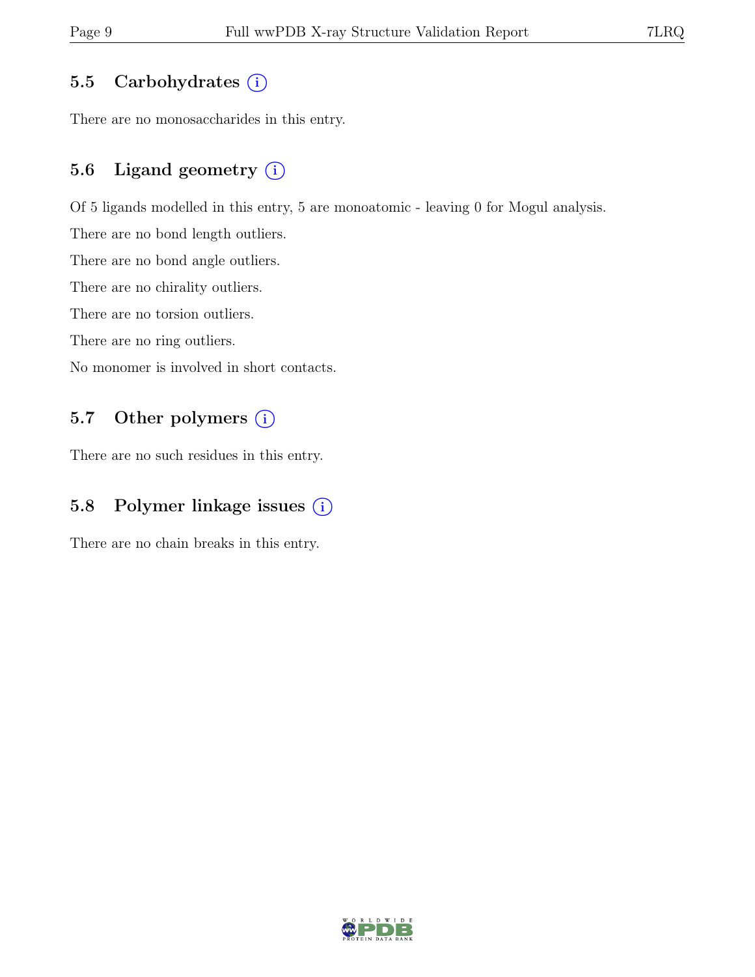#### 5.5 Carbohydrates  $(i)$

There are no monosaccharides in this entry.

### 5.6 Ligand geometry  $(i)$

Of 5 ligands modelled in this entry, 5 are monoatomic - leaving 0 for Mogul analysis.

There are no bond length outliers.

There are no bond angle outliers.

There are no chirality outliers.

There are no torsion outliers.

There are no ring outliers.

No monomer is involved in short contacts.

#### 5.7 Other polymers (i)

There are no such residues in this entry.

### 5.8 Polymer linkage issues (i)

There are no chain breaks in this entry.

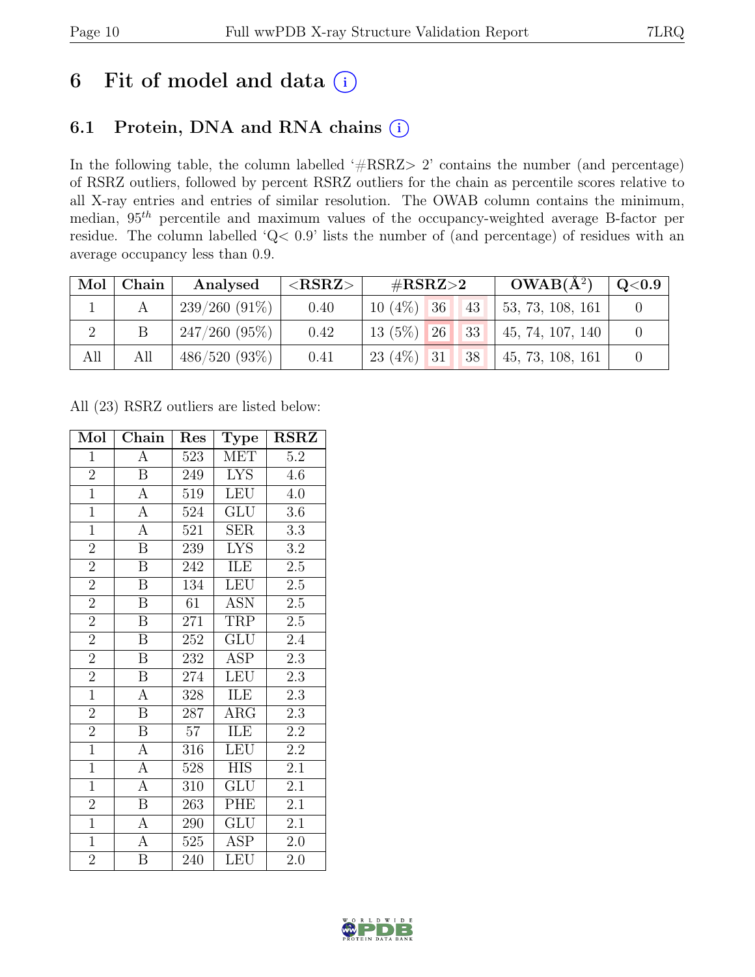### 6 Fit of model and data  $(i)$

### 6.1 Protein, DNA and RNA chains (i)

In the following table, the column labelled ' $\#\text{RSRZ}>2$ ' contains the number (and percentage) of RSRZ outliers, followed by percent RSRZ outliers for the chain as percentile scores relative to all X-ray entries and entries of similar resolution. The OWAB column contains the minimum, median,  $95<sup>th</sup>$  percentile and maximum values of the occupancy-weighted average B-factor per residue. The column labelled 'Q< 0.9' lists the number of (and percentage) of residues with an average occupancy less than 0.9.

| Mol | Chain | Analysed        | ${ <\hspace{-1.5pt}{\mathrm{RSRZ}} \hspace{-1.5pt}>}$ | $\#\text{RSRZ}\text{>2}$ |  | $OWAB(A^2)$ | $\mathrm{Q}{<}0.9$ $ $ |  |
|-----|-------|-----------------|-------------------------------------------------------|--------------------------|--|-------------|------------------------|--|
|     |       | $239/260(91\%)$ | 0.40                                                  | $10(4\%)$ 36             |  | 43          | 53, 73, 108, 161       |  |
|     |       | 247/260(95%)    | 0.42                                                  | $13(5\%)$ 26             |  | 33          | $+45, 74, 107, 140$    |  |
| All | All   | 486/520(93%)    | 0.41                                                  | $23(4\%)$ 31             |  | 38          | 45, 73, 108, 161       |  |

All (23) RSRZ outliers are listed below:

| Mol            | Chain                   | Res | Type       | <b>RSRZ</b>      |
|----------------|-------------------------|-----|------------|------------------|
| $\mathbf{1}$   | А                       | 523 | MET        | 5.2              |
| $\overline{2}$ | $\mathbf B$             | 249 | <b>LYS</b> | 4.6              |
| $\overline{1}$ | $\boldsymbol{A}$        | 519 | LEU        | 4.0              |
| $\overline{1}$ | $\overline{A}$          | 524 | <b>GLU</b> | 3.6              |
| $\overline{1}$ | $\overline{A}$          | 521 | SER        | 3.3              |
| $\overline{2}$ | $\boldsymbol{B}$        | 239 | <b>LYS</b> | $\!3.2\!$        |
| $\overline{2}$ | $\, {\bf B}$            | 242 | ILE        | $2.5\,$          |
| $\overline{2}$ | $\overline{\mathbf{B}}$ | 134 | <b>LEU</b> | $2.5\,$          |
| $\overline{2}$ | $\, {\bf B}$            | 61  | <b>ASN</b> | $2.5\,$          |
| $\overline{2}$ | $\overline{\mathbf{B}}$ | 271 | TRP        | $2.5\,$          |
| $\overline{2}$ | $\boldsymbol{B}$        | 252 | GLU        | 2.4              |
| $\overline{2}$ | $\overline{\mathrm{B}}$ | 232 | ASP        | 2.3              |
| $\overline{2}$ | $\, {\bf B}$            | 274 | <b>LEU</b> | 2.3              |
| $\mathbf{1}$   | $\boldsymbol{A}$        | 328 | ILE        | 2.3              |
| $\overline{2}$ | $\overline{\mathbf{B}}$ | 287 | ARG        | $\overline{2.3}$ |
| $\overline{2}$ | $\, {\bf B}$            | 57  | ILE        | $2.2\,$          |
| $\overline{1}$ | $\overline{A}$          | 316 | <b>LEU</b> | $\overline{2.2}$ |
| $\overline{1}$ | $\overline{A}$          | 528 | <b>HIS</b> | $2.\overline{1}$ |
| $\overline{1}$ | $\overline{A}$          | 310 | <b>GLU</b> | 2.1              |
| $\overline{2}$ | $\overline{B}$          | 263 | PHE        | 2.1              |
| $\overline{1}$ | $\overline{A}$          | 290 | <b>GLU</b> | 2.1              |
| $\overline{1}$ | $\overline{A}$          | 525 | ASP        | $2.0\,$          |
| $\overline{2}$ | B                       | 240 | LEU        | 2.0              |